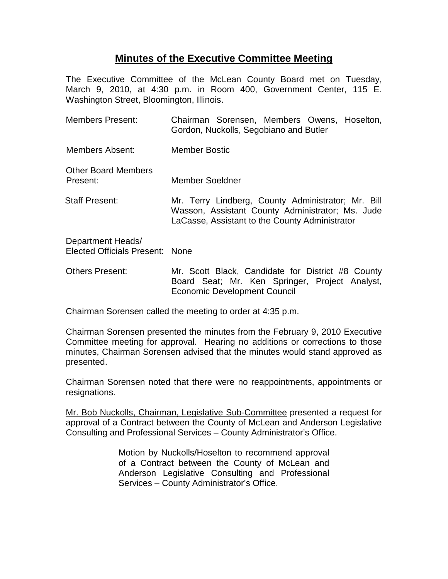## **Minutes of the Executive Committee Meeting**

The Executive Committee of the McLean County Board met on Tuesday, March 9, 2010, at 4:30 p.m. in Room 400, Government Center, 115 E. Washington Street, Bloomington, Illinois.

| <b>Members Present:</b>                              | Chairman Sorensen, Members Owens, Hoselton,<br>Gordon, Nuckolls, Segobiano and Butler                                                                    |
|------------------------------------------------------|----------------------------------------------------------------------------------------------------------------------------------------------------------|
| Members Absent:                                      | <b>Member Bostic</b>                                                                                                                                     |
| <b>Other Board Members</b><br>Present:               | Member Soeldner                                                                                                                                          |
| <b>Staff Present:</b>                                | Mr. Terry Lindberg, County Administrator; Mr. Bill<br>Wasson, Assistant County Administrator; Ms. Jude<br>LaCasse, Assistant to the County Administrator |
| Department Heads/<br>Elected Officials Present: None |                                                                                                                                                          |
| <b>Others Present:</b>                               | Mr. Scott Black, Candidate for District #8 County                                                                                                        |

Chairman Sorensen called the meeting to order at 4:35 p.m.

Chairman Sorensen presented the minutes from the February 9, 2010 Executive Committee meeting for approval. Hearing no additions or corrections to those minutes, Chairman Sorensen advised that the minutes would stand approved as presented.

Economic Development Council

Board Seat; Mr. Ken Springer, Project Analyst,

Chairman Sorensen noted that there were no reappointments, appointments or resignations.

Mr. Bob Nuckolls, Chairman, Legislative Sub-Committee presented a request for approval of a Contract between the County of McLean and Anderson Legislative Consulting and Professional Services – County Administrator's Office.

> Motion by Nuckolls/Hoselton to recommend approval of a Contract between the County of McLean and Anderson Legislative Consulting and Professional Services – County Administrator's Office.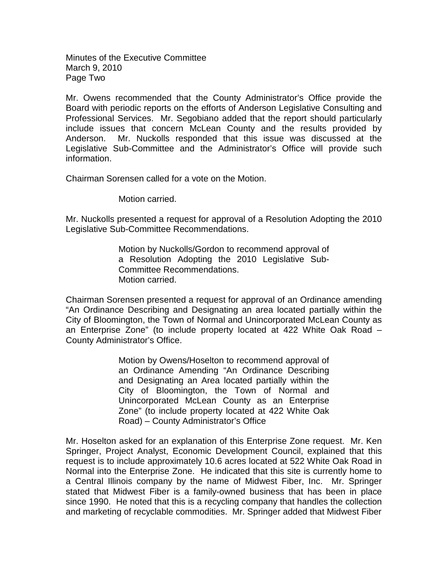Minutes of the Executive Committee March 9, 2010 Page Two

Mr. Owens recommended that the County Administrator's Office provide the Board with periodic reports on the efforts of Anderson Legislative Consulting and Professional Services. Mr. Segobiano added that the report should particularly include issues that concern McLean County and the results provided by Anderson. Mr. Nuckolls responded that this issue was discussed at the Legislative Sub-Committee and the Administrator's Office will provide such information.

Chairman Sorensen called for a vote on the Motion.

Motion carried.

Mr. Nuckolls presented a request for approval of a Resolution Adopting the 2010 Legislative Sub-Committee Recommendations.

> Motion by Nuckolls/Gordon to recommend approval of a Resolution Adopting the 2010 Legislative Sub-Committee Recommendations. Motion carried.

Chairman Sorensen presented a request for approval of an Ordinance amending "An Ordinance Describing and Designating an area located partially within the City of Bloomington, the Town of Normal and Unincorporated McLean County as an Enterprise Zone" (to include property located at 422 White Oak Road – County Administrator's Office.

> Motion by Owens/Hoselton to recommend approval of an Ordinance Amending "An Ordinance Describing and Designating an Area located partially within the City of Bloomington, the Town of Normal and Unincorporated McLean County as an Enterprise Zone" (to include property located at 422 White Oak Road) – County Administrator's Office

Mr. Hoselton asked for an explanation of this Enterprise Zone request. Mr. Ken Springer, Project Analyst, Economic Development Council, explained that this request is to include approximately 10.6 acres located at 522 White Oak Road in Normal into the Enterprise Zone. He indicated that this site is currently home to a Central Illinois company by the name of Midwest Fiber, Inc. Mr. Springer stated that Midwest Fiber is a family-owned business that has been in place since 1990. He noted that this is a recycling company that handles the collection and marketing of recyclable commodities. Mr. Springer added that Midwest Fiber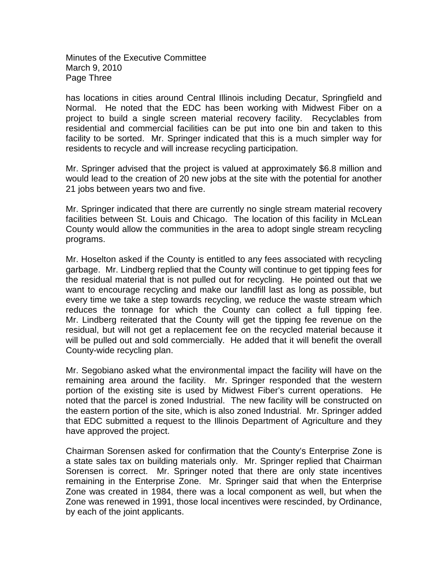Minutes of the Executive Committee March 9, 2010 Page Three

has locations in cities around Central Illinois including Decatur, Springfield and Normal. He noted that the EDC has been working with Midwest Fiber on a project to build a single screen material recovery facility. Recyclables from residential and commercial facilities can be put into one bin and taken to this facility to be sorted. Mr. Springer indicated that this is a much simpler way for residents to recycle and will increase recycling participation.

Mr. Springer advised that the project is valued at approximately \$6.8 million and would lead to the creation of 20 new jobs at the site with the potential for another 21 jobs between years two and five.

Mr. Springer indicated that there are currently no single stream material recovery facilities between St. Louis and Chicago. The location of this facility in McLean County would allow the communities in the area to adopt single stream recycling programs.

Mr. Hoselton asked if the County is entitled to any fees associated with recycling garbage. Mr. Lindberg replied that the County will continue to get tipping fees for the residual material that is not pulled out for recycling. He pointed out that we want to encourage recycling and make our landfill last as long as possible, but every time we take a step towards recycling, we reduce the waste stream which reduces the tonnage for which the County can collect a full tipping fee. Mr. Lindberg reiterated that the County will get the tipping fee revenue on the residual, but will not get a replacement fee on the recycled material because it will be pulled out and sold commercially. He added that it will benefit the overall County-wide recycling plan.

Mr. Segobiano asked what the environmental impact the facility will have on the remaining area around the facility. Mr. Springer responded that the western portion of the existing site is used by Midwest Fiber's current operations. He noted that the parcel is zoned Industrial. The new facility will be constructed on the eastern portion of the site, which is also zoned Industrial. Mr. Springer added that EDC submitted a request to the Illinois Department of Agriculture and they have approved the project.

Chairman Sorensen asked for confirmation that the County's Enterprise Zone is a state sales tax on building materials only. Mr. Springer replied that Chairman Sorensen is correct. Mr. Springer noted that there are only state incentives remaining in the Enterprise Zone. Mr. Springer said that when the Enterprise Zone was created in 1984, there was a local component as well, but when the Zone was renewed in 1991, those local incentives were rescinded, by Ordinance, by each of the joint applicants.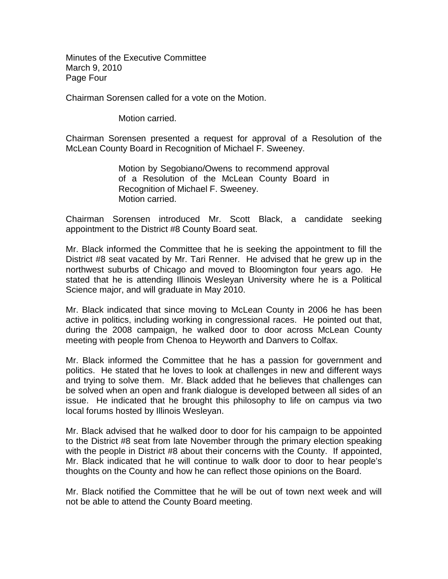Minutes of the Executive Committee March 9, 2010 Page Four

Chairman Sorensen called for a vote on the Motion.

Motion carried.

Chairman Sorensen presented a request for approval of a Resolution of the McLean County Board in Recognition of Michael F. Sweeney.

> Motion by Segobiano/Owens to recommend approval of a Resolution of the McLean County Board in Recognition of Michael F. Sweeney. Motion carried.

Chairman Sorensen introduced Mr. Scott Black, a candidate seeking appointment to the District #8 County Board seat.

Mr. Black informed the Committee that he is seeking the appointment to fill the District #8 seat vacated by Mr. Tari Renner. He advised that he grew up in the northwest suburbs of Chicago and moved to Bloomington four years ago. He stated that he is attending Illinois Wesleyan University where he is a Political Science major, and will graduate in May 2010.

Mr. Black indicated that since moving to McLean County in 2006 he has been active in politics, including working in congressional races. He pointed out that, during the 2008 campaign, he walked door to door across McLean County meeting with people from Chenoa to Heyworth and Danvers to Colfax.

Mr. Black informed the Committee that he has a passion for government and politics. He stated that he loves to look at challenges in new and different ways and trying to solve them. Mr. Black added that he believes that challenges can be solved when an open and frank dialogue is developed between all sides of an issue. He indicated that he brought this philosophy to life on campus via two local forums hosted by Illinois Wesleyan.

Mr. Black advised that he walked door to door for his campaign to be appointed to the District #8 seat from late November through the primary election speaking with the people in District #8 about their concerns with the County. If appointed, Mr. Black indicated that he will continue to walk door to door to hear people's thoughts on the County and how he can reflect those opinions on the Board.

Mr. Black notified the Committee that he will be out of town next week and will not be able to attend the County Board meeting.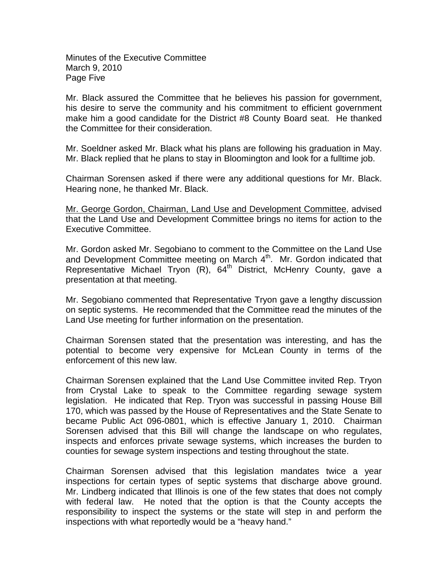Minutes of the Executive Committee March 9, 2010 Page Five

Mr. Black assured the Committee that he believes his passion for government, his desire to serve the community and his commitment to efficient government make him a good candidate for the District #8 County Board seat. He thanked the Committee for their consideration.

Mr. Soeldner asked Mr. Black what his plans are following his graduation in May. Mr. Black replied that he plans to stay in Bloomington and look for a fulltime job.

Chairman Sorensen asked if there were any additional questions for Mr. Black. Hearing none, he thanked Mr. Black.

Mr. George Gordon, Chairman, Land Use and Development Committee, advised that the Land Use and Development Committee brings no items for action to the Executive Committee.

Mr. Gordon asked Mr. Segobiano to comment to the Committee on the Land Use and Development Committee meeting on March  $4<sup>th</sup>$ . Mr. Gordon indicated that Representative Michael Tryon  $(R)$ , 64<sup>th</sup> District, McHenry County, gave a presentation at that meeting.

Mr. Segobiano commented that Representative Tryon gave a lengthy discussion on septic systems. He recommended that the Committee read the minutes of the Land Use meeting for further information on the presentation.

Chairman Sorensen stated that the presentation was interesting, and has the potential to become very expensive for McLean County in terms of the enforcement of this new law.

Chairman Sorensen explained that the Land Use Committee invited Rep. Tryon from Crystal Lake to speak to the Committee regarding sewage system legislation. He indicated that Rep. Tryon was successful in passing House Bill 170, which was passed by the House of Representatives and the State Senate to became Public Act 096-0801, which is effective January 1, 2010. Chairman Sorensen advised that this Bill will change the landscape on who regulates, inspects and enforces private sewage systems, which increases the burden to counties for sewage system inspections and testing throughout the state.

Chairman Sorensen advised that this legislation mandates twice a year inspections for certain types of septic systems that discharge above ground. Mr. Lindberg indicated that Illinois is one of the few states that does not comply with federal law. He noted that the option is that the County accepts the responsibility to inspect the systems or the state will step in and perform the inspections with what reportedly would be a "heavy hand."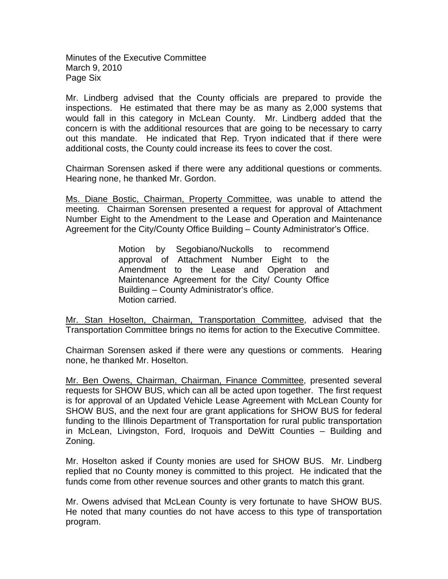Minutes of the Executive Committee March 9, 2010 Page Six

Mr. Lindberg advised that the County officials are prepared to provide the inspections. He estimated that there may be as many as 2,000 systems that would fall in this category in McLean County. Mr. Lindberg added that the concern is with the additional resources that are going to be necessary to carry out this mandate. He indicated that Rep. Tryon indicated that if there were additional costs, the County could increase its fees to cover the cost.

Chairman Sorensen asked if there were any additional questions or comments. Hearing none, he thanked Mr. Gordon.

Ms. Diane Bostic, Chairman, Property Committee, was unable to attend the meeting. Chairman Sorensen presented a request for approval of Attachment Number Eight to the Amendment to the Lease and Operation and Maintenance Agreement for the City/County Office Building – County Administrator's Office.

> Motion by Segobiano/Nuckolls to recommend approval of Attachment Number Eight to the Amendment to the Lease and Operation and Maintenance Agreement for the City/ County Office Building – County Administrator's office. Motion carried.

Mr. Stan Hoselton, Chairman, Transportation Committee, advised that the Transportation Committee brings no items for action to the Executive Committee.

Chairman Sorensen asked if there were any questions or comments. Hearing none, he thanked Mr. Hoselton.

Mr. Ben Owens, Chairman, Chairman, Finance Committee, presented several requests for SHOW BUS, which can all be acted upon together. The first request is for approval of an Updated Vehicle Lease Agreement with McLean County for SHOW BUS, and the next four are grant applications for SHOW BUS for federal funding to the Illinois Department of Transportation for rural public transportation in McLean, Livingston, Ford, Iroquois and DeWitt Counties – Building and Zoning.

Mr. Hoselton asked if County monies are used for SHOW BUS. Mr. Lindberg replied that no County money is committed to this project. He indicated that the funds come from other revenue sources and other grants to match this grant.

Mr. Owens advised that McLean County is very fortunate to have SHOW BUS. He noted that many counties do not have access to this type of transportation program.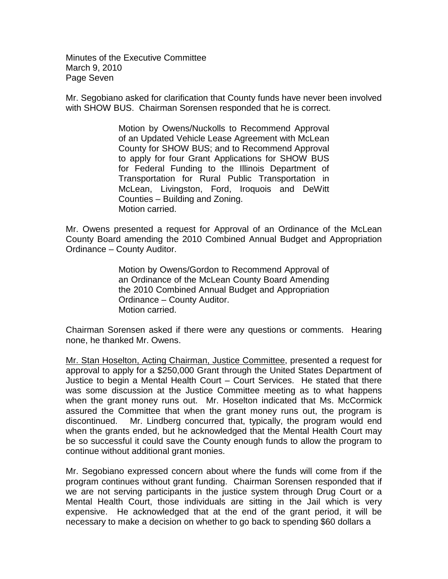Minutes of the Executive Committee March 9, 2010 Page Seven

Mr. Segobiano asked for clarification that County funds have never been involved with SHOW BUS. Chairman Sorensen responded that he is correct.

> Motion by Owens/Nuckolls to Recommend Approval of an Updated Vehicle Lease Agreement with McLean County for SHOW BUS; and to Recommend Approval to apply for four Grant Applications for SHOW BUS for Federal Funding to the Illinois Department of Transportation for Rural Public Transportation in McLean, Livingston, Ford, Iroquois and DeWitt Counties – Building and Zoning. Motion carried.

Mr. Owens presented a request for Approval of an Ordinance of the McLean County Board amending the 2010 Combined Annual Budget and Appropriation Ordinance – County Auditor.

> Motion by Owens/Gordon to Recommend Approval of an Ordinance of the McLean County Board Amending the 2010 Combined Annual Budget and Appropriation Ordinance – County Auditor. Motion carried.

Chairman Sorensen asked if there were any questions or comments. Hearing none, he thanked Mr. Owens.

Mr. Stan Hoselton, Acting Chairman, Justice Committee, presented a request for approval to apply for a \$250,000 Grant through the United States Department of Justice to begin a Mental Health Court – Court Services. He stated that there was some discussion at the Justice Committee meeting as to what happens when the grant money runs out. Mr. Hoselton indicated that Ms. McCormick assured the Committee that when the grant money runs out, the program is discontinued. Mr. Lindberg concurred that, typically, the program would end when the grants ended, but he acknowledged that the Mental Health Court may be so successful it could save the County enough funds to allow the program to continue without additional grant monies.

Mr. Segobiano expressed concern about where the funds will come from if the program continues without grant funding. Chairman Sorensen responded that if we are not serving participants in the justice system through Drug Court or a Mental Health Court, those individuals are sitting in the Jail which is very expensive. He acknowledged that at the end of the grant period, it will be necessary to make a decision on whether to go back to spending \$60 dollars a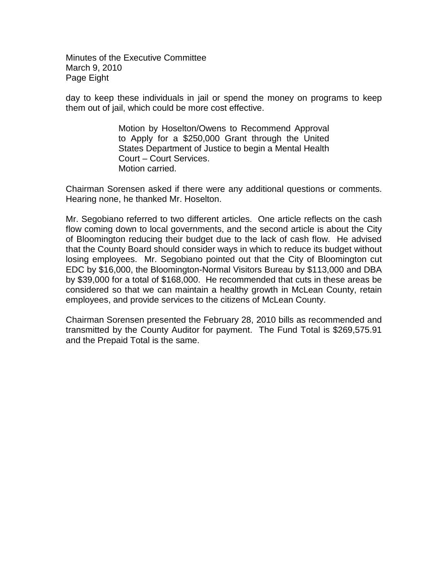Minutes of the Executive Committee March 9, 2010 Page Eight

day to keep these individuals in jail or spend the money on programs to keep them out of jail, which could be more cost effective.

> Motion by Hoselton/Owens to Recommend Approval to Apply for a \$250,000 Grant through the United States Department of Justice to begin a Mental Health Court – Court Services. Motion carried.

Chairman Sorensen asked if there were any additional questions or comments. Hearing none, he thanked Mr. Hoselton.

Mr. Segobiano referred to two different articles. One article reflects on the cash flow coming down to local governments, and the second article is about the City of Bloomington reducing their budget due to the lack of cash flow. He advised that the County Board should consider ways in which to reduce its budget without losing employees. Mr. Segobiano pointed out that the City of Bloomington cut EDC by \$16,000, the Bloomington-Normal Visitors Bureau by \$113,000 and DBA by \$39,000 for a total of \$168,000. He recommended that cuts in these areas be considered so that we can maintain a healthy growth in McLean County, retain employees, and provide services to the citizens of McLean County.

Chairman Sorensen presented the February 28, 2010 bills as recommended and transmitted by the County Auditor for payment. The Fund Total is \$269,575.91 and the Prepaid Total is the same.